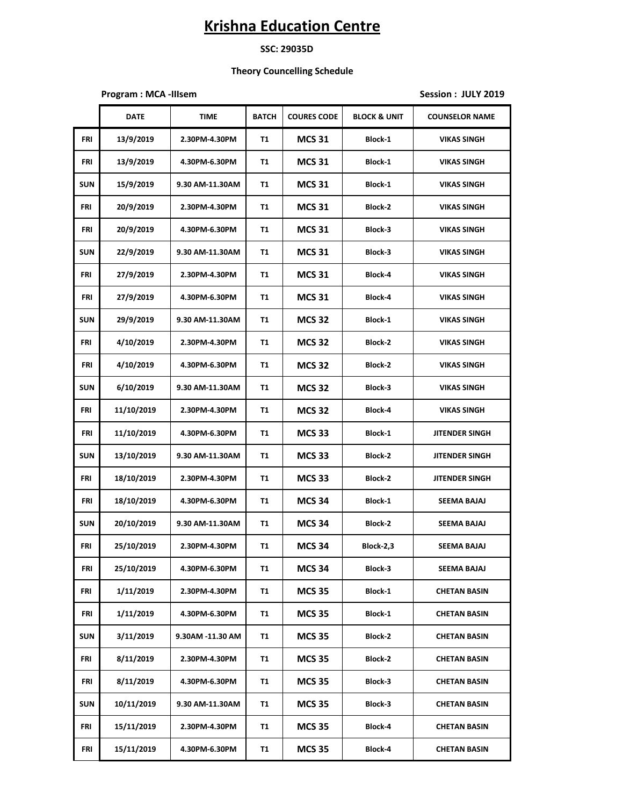### **SSC: 29035D**

### **Theory Councelling Schedule**

**Program : MCA -IIIsem Session : JULY 2019**

|            | <b>DATE</b> | <b>TIME</b>      | <b>BATCH</b> | <b>COURES CODE</b> | <b>BLOCK &amp; UNIT</b> | <b>COUNSELOR NAME</b> |
|------------|-------------|------------------|--------------|--------------------|-------------------------|-----------------------|
| FRI        | 13/9/2019   | 2.30PM-4.30PM    | T1           | <b>MCS 31</b>      | Block-1                 | <b>VIKAS SINGH</b>    |
| FRI        | 13/9/2019   | 4.30PM-6.30PM    | T1           | <b>MCS 31</b>      | Block-1                 | <b>VIKAS SINGH</b>    |
| <b>SUN</b> | 15/9/2019   | 9.30 AM-11.30AM  | T1           | <b>MCS 31</b>      | Block-1                 | <b>VIKAS SINGH</b>    |
| FRI        | 20/9/2019   | 2.30PM-4.30PM    | T1           | <b>MCS 31</b>      | <b>Block-2</b>          | <b>VIKAS SINGH</b>    |
| FRI        | 20/9/2019   | 4.30PM-6.30PM    | T1           | <b>MCS 31</b>      | Block-3                 | <b>VIKAS SINGH</b>    |
| <b>SUN</b> | 22/9/2019   | 9.30 AM-11.30AM  | T1           | <b>MCS 31</b>      | Block-3                 | <b>VIKAS SINGH</b>    |
| FRI        | 27/9/2019   | 2.30PM-4.30PM    | T1           | <b>MCS 31</b>      | Block-4                 | <b>VIKAS SINGH</b>    |
| FRI        | 27/9/2019   | 4.30PM-6.30PM    | T1           | <b>MCS 31</b>      | Block-4                 | <b>VIKAS SINGH</b>    |
| <b>SUN</b> | 29/9/2019   | 9.30 AM-11.30AM  | T1           | <b>MCS 32</b>      | Block-1                 | <b>VIKAS SINGH</b>    |
| FRI        | 4/10/2019   | 2.30PM-4.30PM    | T1           | <b>MCS 32</b>      | <b>Block-2</b>          | <b>VIKAS SINGH</b>    |
| FRI        | 4/10/2019   | 4.30PM-6.30PM    | T1           | <b>MCS 32</b>      | Block-2                 | <b>VIKAS SINGH</b>    |
| <b>SUN</b> | 6/10/2019   | 9.30 AM-11.30AM  | T1           | <b>MCS 32</b>      | Block-3                 | <b>VIKAS SINGH</b>    |
| FRI        | 11/10/2019  | 2.30PM-4.30PM    | T1           | <b>MCS 32</b>      | Block-4                 | <b>VIKAS SINGH</b>    |
| FRI        | 11/10/2019  | 4.30PM-6.30PM    | T1           | <b>MCS 33</b>      | Block-1                 | <b>JITENDER SINGH</b> |
| <b>SUN</b> | 13/10/2019  | 9.30 AM-11.30AM  | T1           | <b>MCS 33</b>      | <b>Block-2</b>          | <b>JITENDER SINGH</b> |
| FRI        | 18/10/2019  | 2.30PM-4.30PM    | T1           | <b>MCS 33</b>      | <b>Block-2</b>          | <b>JITENDER SINGH</b> |
| FRI        | 18/10/2019  | 4.30PM-6.30PM    | T1           | <b>MCS 34</b>      | Block-1                 | <b>SEEMA BAJAJ</b>    |
| <b>SUN</b> | 20/10/2019  | 9.30 AM-11.30AM  | T1           | <b>MCS 34</b>      | <b>Block-2</b>          | SEEMA BAJAJ           |
| FRI        | 25/10/2019  | 2.30PM-4.30PM    | T1           | <b>MCS 34</b>      | Block-2,3               | SEEMA BAJAJ           |
| <b>FRI</b> | 25/10/2019  | 4.30PM-6.30PM    | T1           | <b>MCS 34</b>      | Block-3                 | <b>SEEMA BAJAJ</b>    |
| FRI        | 1/11/2019   | 2.30PM-4.30PM    | <b>T1</b>    | <b>MCS 35</b>      | Block-1                 | <b>CHETAN BASIN</b>   |
| FRI        | 1/11/2019   | 4.30PM-6.30PM    | T1           | <b>MCS 35</b>      | Block-1                 | <b>CHETAN BASIN</b>   |
| <b>SUN</b> | 3/11/2019   | 9.30AM -11.30 AM | T1           | <b>MCS 35</b>      | Block-2                 | <b>CHETAN BASIN</b>   |
| FRI        | 8/11/2019   | 2.30PM-4.30PM    | T1           | <b>MCS 35</b>      | Block-2                 | <b>CHETAN BASIN</b>   |
| FRI        | 8/11/2019   | 4.30PM-6.30PM    | T1           | <b>MCS 35</b>      | Block-3                 | <b>CHETAN BASIN</b>   |
| <b>SUN</b> | 10/11/2019  | 9.30 AM-11.30AM  | T1           | <b>MCS 35</b>      | Block-3                 | <b>CHETAN BASIN</b>   |
| FRI        | 15/11/2019  | 2.30PM-4.30PM    | T1           | <b>MCS 35</b>      | Block-4                 | <b>CHETAN BASIN</b>   |
| FRI        | 15/11/2019  | 4.30PM-6.30PM    | T1           | <b>MCS 35</b>      | Block-4                 | <b>CHETAN BASIN</b>   |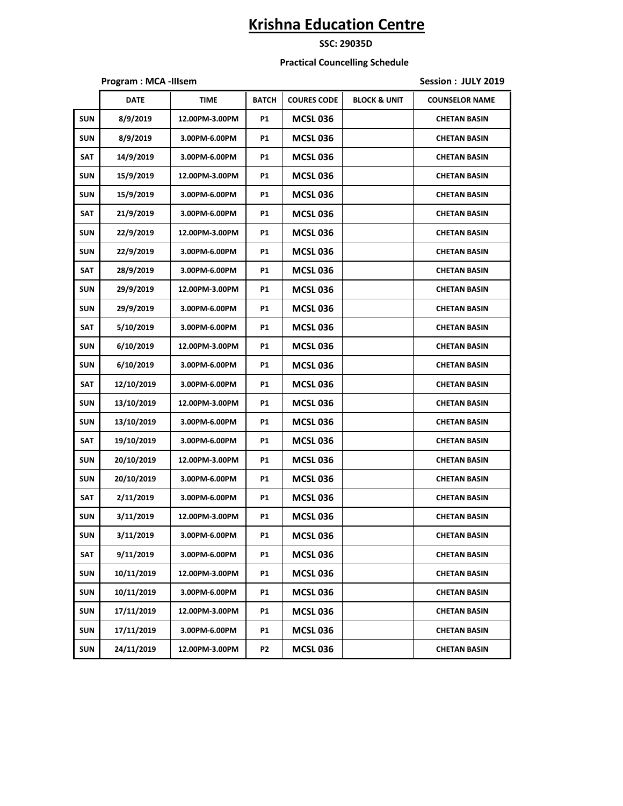### **SSC: 29035D**

#### **Practical Councelling Schedule**

|            | Program: MCA - Illsem |                |              |                    | Session: JULY 2019      |                       |
|------------|-----------------------|----------------|--------------|--------------------|-------------------------|-----------------------|
|            | <b>DATE</b>           | <b>TIME</b>    | <b>BATCH</b> | <b>COURES CODE</b> | <b>BLOCK &amp; UNIT</b> | <b>COUNSELOR NAME</b> |
| <b>SUN</b> | 8/9/2019              | 12.00PM-3.00PM | <b>P1</b>    | <b>MCSL 036</b>    |                         | <b>CHETAN BASIN</b>   |
| <b>SUN</b> | 8/9/2019              | 3.00PM-6.00PM  | <b>P1</b>    | <b>MCSL 036</b>    |                         | <b>CHETAN BASIN</b>   |
| SAT        | 14/9/2019             | 3.00PM-6.00PM  | <b>P1</b>    | <b>MCSL 036</b>    |                         | <b>CHETAN BASIN</b>   |
| <b>SUN</b> | 15/9/2019             | 12.00PM-3.00PM | <b>P1</b>    | <b>MCSL 036</b>    |                         | <b>CHETAN BASIN</b>   |
| <b>SUN</b> | 15/9/2019             | 3.00PM-6.00PM  | P1           | <b>MCSL 036</b>    |                         | <b>CHETAN BASIN</b>   |
| SAT        | 21/9/2019             | 3.00PM-6.00PM  | <b>P1</b>    | <b>MCSL 036</b>    |                         | <b>CHETAN BASIN</b>   |
| <b>SUN</b> | 22/9/2019             | 12.00PM-3.00PM | P1           | <b>MCSL 036</b>    |                         | <b>CHETAN BASIN</b>   |
| <b>SUN</b> | 22/9/2019             | 3.00PM-6.00PM  | <b>P1</b>    | <b>MCSL 036</b>    |                         | <b>CHETAN BASIN</b>   |
| <b>SAT</b> | 28/9/2019             | 3.00PM-6.00PM  | <b>P1</b>    | <b>MCSL 036</b>    |                         | <b>CHETAN BASIN</b>   |
| <b>SUN</b> | 29/9/2019             | 12.00PM-3.00PM | P1           | <b>MCSL 036</b>    |                         | <b>CHETAN BASIN</b>   |
| <b>SUN</b> | 29/9/2019             | 3.00PM-6.00PM  | <b>P1</b>    | <b>MCSL 036</b>    |                         | <b>CHETAN BASIN</b>   |
| SAT        | 5/10/2019             | 3.00PM-6.00PM  | P1           | <b>MCSL 036</b>    |                         | <b>CHETAN BASIN</b>   |
| <b>SUN</b> | 6/10/2019             | 12.00PM-3.00PM | <b>P1</b>    | <b>MCSL 036</b>    |                         | <b>CHETAN BASIN</b>   |
| <b>SUN</b> | 6/10/2019             | 3.00PM-6.00PM  | <b>P1</b>    | <b>MCSL 036</b>    |                         | <b>CHETAN BASIN</b>   |
| SAT        | 12/10/2019            | 3.00PM-6.00PM  | P1           | <b>MCSL 036</b>    |                         | <b>CHETAN BASIN</b>   |
| <b>SUN</b> | 13/10/2019            | 12.00PM-3.00PM | <b>P1</b>    | <b>MCSL 036</b>    |                         | <b>CHETAN BASIN</b>   |
| <b>SUN</b> | 13/10/2019            | 3.00PM-6.00PM  | <b>P1</b>    | <b>MCSL 036</b>    |                         | <b>CHETAN BASIN</b>   |
| <b>SAT</b> | 19/10/2019            | 3.00PM-6.00PM  | P1           | <b>MCSL 036</b>    |                         | <b>CHETAN BASIN</b>   |
| <b>SUN</b> | 20/10/2019            | 12.00PM-3.00PM | <b>P1</b>    | <b>MCSL 036</b>    |                         | <b>CHETAN BASIN</b>   |
| <b>SUN</b> | 20/10/2019            | 3.00PM-6.00PM  | P1           | <b>MCSL 036</b>    |                         | <b>CHETAN BASIN</b>   |
| <b>SAT</b> | 2/11/2019             | 3.00PM-6.00PM  | <b>P1</b>    | <b>MCSL 036</b>    |                         | <b>CHETAN BASIN</b>   |
| <b>SUN</b> | 3/11/2019             | 12.00PM-3.00PM | P1           | <b>MCSL 036</b>    |                         | <b>CHETAN BASIN</b>   |
| SUN        | 3/11/2019             | 3.00PM-6.00PM  | P1           | <b>MCSL 036</b>    |                         | <b>CHETAN BASIN</b>   |
| SAT        | 9/11/2019             | 3.00PM-6.00PM  | P1           | <b>MCSL 036</b>    |                         | <b>CHETAN BASIN</b>   |
| <b>SUN</b> | 10/11/2019            | 12.00PM-3.00PM | P1           | <b>MCSL 036</b>    |                         | <b>CHETAN BASIN</b>   |
| <b>SUN</b> | 10/11/2019            | 3.00PM-6.00PM  | P1           | <b>MCSL 036</b>    |                         | <b>CHETAN BASIN</b>   |
| <b>SUN</b> | 17/11/2019            | 12.00PM-3.00PM | P1           | <b>MCSL 036</b>    |                         | <b>CHETAN BASIN</b>   |
| <b>SUN</b> | 17/11/2019            | 3.00PM-6.00PM  | P1           | <b>MCSL 036</b>    |                         | <b>CHETAN BASIN</b>   |
| <b>SUN</b> | 24/11/2019            | 12.00PM-3.00PM | P2           | <b>MCSL 036</b>    |                         | <b>CHETAN BASIN</b>   |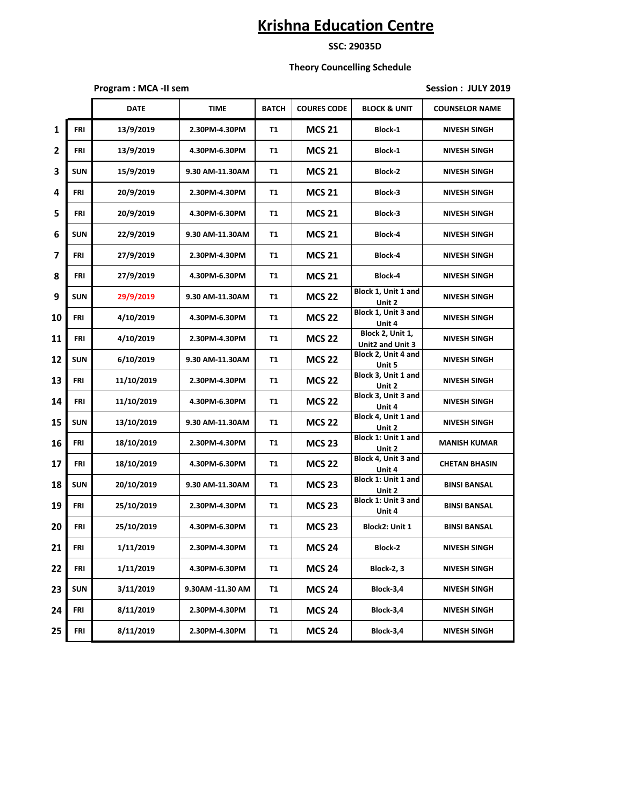**SSC: 29035D**

#### **Theory Councelling Schedule**

**Program : MCA -II sem Session : JULY 2019** 

|              |            | <b>DATE</b> | <b>TIME</b>      | <b>BATCH</b> | <b>COURES CODE</b> | <b>BLOCK &amp; UNIT</b>              | <b>COUNSELOR NAME</b> |
|--------------|------------|-------------|------------------|--------------|--------------------|--------------------------------------|-----------------------|
| $\mathbf{1}$ | <b>FRI</b> | 13/9/2019   | 2.30PM-4.30PM    | T1           | <b>MCS 21</b>      | <b>Block-1</b>                       | <b>NIVESH SINGH</b>   |
| 2            | FRI        | 13/9/2019   | 4.30PM-6.30PM    | T1           | <b>MCS 21</b>      | Block-1                              | <b>NIVESH SINGH</b>   |
| 3            | <b>SUN</b> | 15/9/2019   | 9.30 AM-11.30AM  | T1           | <b>MCS 21</b>      | Block-2                              | <b>NIVESH SINGH</b>   |
| 4            | FRI        | 20/9/2019   | 2.30PM-4.30PM    | T1           | <b>MCS 21</b>      | Block-3                              | <b>NIVESH SINGH</b>   |
| 5            | FRI        | 20/9/2019   | 4.30PM-6.30PM    | T1           | <b>MCS 21</b>      | Block-3                              | <b>NIVESH SINGH</b>   |
| 6            | <b>SUN</b> | 22/9/2019   | 9.30 AM-11.30AM  | T1           | <b>MCS 21</b>      | Block-4                              | <b>NIVESH SINGH</b>   |
| 7            | <b>FRI</b> | 27/9/2019   | 2.30PM-4.30PM    | T1           | <b>MCS 21</b>      | Block-4                              | <b>NIVESH SINGH</b>   |
| 8            | FRI        | 27/9/2019   | 4.30PM-6.30PM    | T1           | <b>MCS 21</b>      | Block-4                              | <b>NIVESH SINGH</b>   |
| 9            | <b>SUN</b> | 29/9/2019   | 9.30 AM-11.30AM  | T1           | <b>MCS 22</b>      | Block 1, Unit 1 and<br>Unit 2        | <b>NIVESH SINGH</b>   |
| 10           | <b>FRI</b> | 4/10/2019   | 4.30PM-6.30PM    | T1           | <b>MCS 22</b>      | Block 1, Unit 3 and<br>Unit 4        | <b>NIVESH SINGH</b>   |
| 11           | FRI        | 4/10/2019   | 2.30PM-4.30PM    | T1           | <b>MCS 22</b>      | Block 2, Unit 1,<br>Unit2 and Unit 3 | <b>NIVESH SINGH</b>   |
| 12           | <b>SUN</b> | 6/10/2019   | 9.30 AM-11.30AM  | T1           | <b>MCS 22</b>      | Block 2, Unit 4 and<br>Unit 5        | <b>NIVESH SINGH</b>   |
| 13           | FRI        | 11/10/2019  | 2.30PM-4.30PM    | T1           | <b>MCS 22</b>      | Block 3, Unit 1 and<br>Unit 2        | <b>NIVESH SINGH</b>   |
| 14           | FRI        | 11/10/2019  | 4.30PM-6.30PM    | T1           | <b>MCS 22</b>      | Block 3, Unit 3 and<br>Unit 4        | <b>NIVESH SINGH</b>   |
| 15           | <b>SUN</b> | 13/10/2019  | 9.30 AM-11.30AM  | <b>T1</b>    | <b>MCS 22</b>      | Block 4, Unit 1 and<br>Unit 2        | <b>NIVESH SINGH</b>   |
| 16           | FRI        | 18/10/2019  | 2.30PM-4.30PM    | T1           | <b>MCS 23</b>      | Block 1: Unit 1 and<br>Unit 2        | <b>MANISH KUMAR</b>   |
| 17           | FRI        | 18/10/2019  | 4.30PM-6.30PM    | T1           | <b>MCS 22</b>      | Block 4, Unit 3 and<br>Unit 4        | <b>CHETAN BHASIN</b>  |
| 18           | <b>SUN</b> | 20/10/2019  | 9.30 AM-11.30AM  | T1           | <b>MCS 23</b>      | Block 1: Unit 1 and<br>Unit 2        | <b>BINSI BANSAL</b>   |
| 19           | FRI        | 25/10/2019  | 2.30PM-4.30PM    | T1           | <b>MCS 23</b>      | Block 1: Unit 3 and<br>Unit 4        | <b>BINSI BANSAL</b>   |
| 20           | FRI        | 25/10/2019  | 4.30PM-6.30PM    | T1           | <b>MCS 23</b>      | Block2: Unit 1                       | <b>BINSI BANSAL</b>   |
| 21           | <b>FRI</b> | 1/11/2019   | 2.30PM-4.30PM    | Τ1           | <b>MCS 24</b>      | Block-2                              | <b>NIVESH SINGH</b>   |
| 22           | FRI        | 1/11/2019   | 4.30PM-6.30PM    | T1           | <b>MCS 24</b>      | <b>Block-2, 3</b>                    | <b>NIVESH SINGH</b>   |
| 23           | <b>SUN</b> | 3/11/2019   | 9.30AM -11.30 AM | T1           | <b>MCS 24</b>      | Block-3,4                            | <b>NIVESH SINGH</b>   |
| 24           | FRI        | 8/11/2019   | 2.30PM-4.30PM    | T1           | <b>MCS 24</b>      | Block-3,4                            | <b>NIVESH SINGH</b>   |
| 25           | FRI        | 8/11/2019   | 2.30PM-4.30PM    | T1           | <b>MCS 24</b>      | Block-3,4                            | <b>NIVESH SINGH</b>   |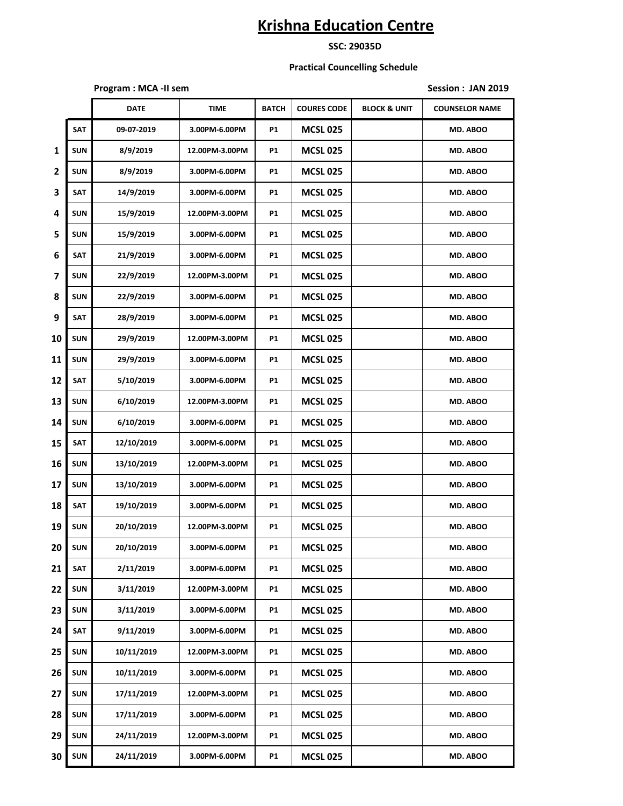**SSC: 29035D**

#### **Practical Councelling Schedule**

**Program : MCA -II sem Session : JAN 2019** 

|    |            | <b>DATE</b> | <b>TIME</b>    | <b>BATCH</b> | <b>COURES CODE</b> | <b>BLOCK &amp; UNIT</b> | <b>COUNSELOR NAME</b> |
|----|------------|-------------|----------------|--------------|--------------------|-------------------------|-----------------------|
|    | SAT        | 09-07-2019  | 3.00PM-6.00PM  | <b>P1</b>    | <b>MCSL 025</b>    |                         | MD. ABOO              |
| 1  | <b>SUN</b> | 8/9/2019    | 12.00PM-3.00PM | P1           | <b>MCSL 025</b>    |                         | MD. ABOO              |
| 2  | <b>SUN</b> | 8/9/2019    | 3.00PM-6.00PM  | P1           | <b>MCSL 025</b>    |                         | MD. ABOO              |
| 3  | <b>SAT</b> | 14/9/2019   | 3.00PM-6.00PM  | P1           | <b>MCSL 025</b>    |                         | MD. ABOO              |
| 4  | <b>SUN</b> | 15/9/2019   | 12.00PM-3.00PM | P1           | <b>MCSL 025</b>    |                         | MD. ABOO              |
| 5  | <b>SUN</b> | 15/9/2019   | 3.00PM-6.00PM  | P1           | <b>MCSL 025</b>    |                         | MD. ABOO              |
| 6  | SAT        | 21/9/2019   | 3.00PM-6.00PM  | P1           | <b>MCSL 025</b>    |                         | MD. ABOO              |
| 7  | <b>SUN</b> | 22/9/2019   | 12.00PM-3.00PM | P1           | <b>MCSL 025</b>    |                         | MD. ABOO              |
| 8  | <b>SUN</b> | 22/9/2019   | 3.00PM-6.00PM  | P1           | <b>MCSL 025</b>    |                         | MD. ABOO              |
| 9  | <b>SAT</b> | 28/9/2019   | 3.00PM-6.00PM  | P1           | <b>MCSL 025</b>    |                         | MD. ABOO              |
| 10 | <b>SUN</b> | 29/9/2019   | 12.00PM-3.00PM | P1           | <b>MCSL 025</b>    |                         | MD. ABOO              |
| 11 | <b>SUN</b> | 29/9/2019   | 3.00PM-6.00PM  | P1           | <b>MCSL 025</b>    |                         | <b>MD. ABOO</b>       |
| 12 | SAT        | 5/10/2019   | 3.00PM-6.00PM  | P1           | <b>MCSL 025</b>    |                         | MD. ABOO              |
| 13 | <b>SUN</b> | 6/10/2019   | 12.00PM-3.00PM | P1           | <b>MCSL 025</b>    |                         | MD. ABOO              |
| 14 | <b>SUN</b> | 6/10/2019   | 3.00PM-6.00PM  | P1           | <b>MCSL 025</b>    |                         | MD. ABOO              |
| 15 | SAT        | 12/10/2019  | 3.00PM-6.00PM  | P1           | <b>MCSL 025</b>    |                         | MD. ABOO              |
| 16 | <b>SUN</b> | 13/10/2019  | 12.00PM-3.00PM | P1           | <b>MCSL 025</b>    |                         | <b>MD. ABOO</b>       |
| 17 | <b>SUN</b> | 13/10/2019  | 3.00PM-6.00PM  | P1           | <b>MCSL 025</b>    |                         | MD. ABOO              |
| 18 | SAT        | 19/10/2019  | 3.00PM-6.00PM  | P1           | <b>MCSL 025</b>    |                         | MD. ABOO              |
| 19 | <b>SUN</b> | 20/10/2019  | 12.00PM-3.00PM | P1           | <b>MCSL 025</b>    |                         | MD. ABOO              |
| 20 | <b>SUN</b> | 20/10/2019  | 3.00PM-6.00PM  | P1           | <b>MCSL 025</b>    |                         | MD. ABOO              |
| 21 | SAT        | 2/11/2019   | 3.00PM-6.00PM  | <b>P1</b>    | <b>MCSL 025</b>    |                         | MD. ABOO              |
| 22 | <b>SUN</b> | 3/11/2019   | 12.00PM-3.00PM | <b>P1</b>    | <b>MCSL 025</b>    |                         | MD. ABOO              |
| 23 | <b>SUN</b> | 3/11/2019   | 3.00PM-6.00PM  | P1           | <b>MCSL 025</b>    |                         | MD. ABOO              |
| 24 | SAT        | 9/11/2019   | 3.00PM-6.00PM  | <b>P1</b>    | <b>MCSL 025</b>    |                         | MD. ABOO              |
| 25 | <b>SUN</b> | 10/11/2019  | 12.00PM-3.00PM | <b>P1</b>    | <b>MCSL 025</b>    |                         | MD. ABOO              |
| 26 | <b>SUN</b> | 10/11/2019  | 3.00PM-6.00PM  | <b>P1</b>    | <b>MCSL 025</b>    |                         | MD. ABOO              |
| 27 | <b>SUN</b> | 17/11/2019  | 12.00PM-3.00PM | P1           | <b>MCSL 025</b>    |                         | MD. ABOO              |
| 28 | <b>SUN</b> | 17/11/2019  | 3.00PM-6.00PM  | P1           | <b>MCSL 025</b>    |                         | MD. ABOO              |
| 29 | <b>SUN</b> | 24/11/2019  | 12.00PM-3.00PM | <b>P1</b>    | <b>MCSL 025</b>    |                         | MD. ABOO              |
| 30 | <b>SUN</b> | 24/11/2019  | 3.00PM-6.00PM  | P1           | <b>MCSL 025</b>    |                         | MD. ABOO              |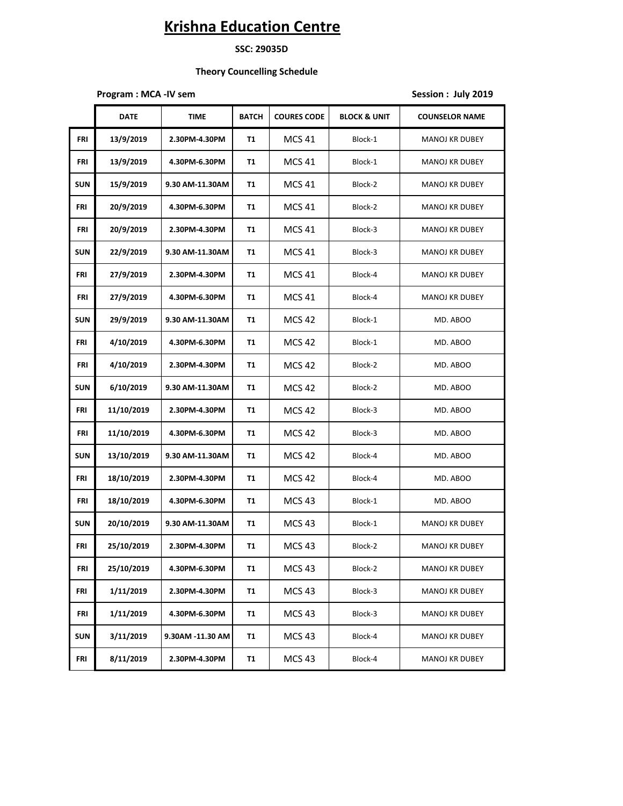**SSC: 29035D**

 **Theory Councelling Schedule**

**Program : MCA -IV sem Session : July 2019** 

|            | <b>DATE</b> | <b>TIME</b>      | <b>BATCH</b> | <b>COURES CODE</b> | <b>BLOCK &amp; UNIT</b> | <b>COUNSELOR NAME</b> |
|------------|-------------|------------------|--------------|--------------------|-------------------------|-----------------------|
| FRI        | 13/9/2019   | 2.30PM-4.30PM    | T1           | MCS 41             | Block-1                 | <b>MANOJ KR DUBEY</b> |
| FRI        | 13/9/2019   | 4.30PM-6.30PM    | T1           | <b>MCS 41</b>      | Block-1                 | <b>MANOJ KR DUBEY</b> |
| <b>SUN</b> | 15/9/2019   | 9.30 AM-11.30AM  | T1           | MCS 41             | Block-2                 | <b>MANOJ KR DUBEY</b> |
| FRI        | 20/9/2019   | 4.30PM-6.30PM    | T1           | MCS 41             | Block-2                 | <b>MANOJ KR DUBEY</b> |
| FRI        | 20/9/2019   | 2.30PM-4.30PM    | T1           | MCS 41             | Block-3                 | <b>MANOJ KR DUBEY</b> |
| <b>SUN</b> | 22/9/2019   | 9.30 AM-11.30AM  | T1           | <b>MCS 41</b>      | Block-3                 | MANOJ KR DUBEY        |
| FRI        | 27/9/2019   | 2.30PM-4.30PM    | T1           | <b>MCS 41</b>      | Block-4                 | <b>MANOJ KR DUBEY</b> |
| FRI        | 27/9/2019   | 4.30PM-6.30PM    | T1           | MCS 41             | Block-4                 | <b>MANOJ KR DUBEY</b> |
| <b>SUN</b> | 29/9/2019   | 9.30 AM-11.30AM  | T1           | <b>MCS 42</b>      | Block-1                 | MD. ABOO              |
| FRI        | 4/10/2019   | 4.30PM-6.30PM    | T1           | <b>MCS 42</b>      | Block-1                 | MD. ABOO              |
| FRI        | 4/10/2019   | 2.30PM-4.30PM    | T1           | <b>MCS 42</b>      | Block-2                 | MD. ABOO              |
| <b>SUN</b> | 6/10/2019   | 9.30 AM-11.30AM  | T1           | <b>MCS 42</b>      | Block-2                 | MD. ABOO              |
| FRI        | 11/10/2019  | 2.30PM-4.30PM    | T1           | MCS 42             | Block-3                 | MD. ABOO              |
| FRI        | 11/10/2019  | 4.30PM-6.30PM    | T1           | MCS 42             | Block-3                 | MD. ABOO              |
| <b>SUN</b> | 13/10/2019  | 9.30 AM-11.30AM  | T1           | <b>MCS 42</b>      | Block-4                 | MD. ABOO              |
| FRI        | 18/10/2019  | 2.30PM-4.30PM    | T1           | <b>MCS 42</b>      | Block-4                 | MD. ABOO              |
| FRI        | 18/10/2019  | 4.30PM-6.30PM    | T1           | <b>MCS 43</b>      | Block-1                 | MD. ABOO              |
| <b>SUN</b> | 20/10/2019  | 9.30 AM-11.30AM  | T1           | MCS 43             | Block-1                 | <b>MANOJ KR DUBEY</b> |
| FRI        | 25/10/2019  | 2.30PM-4.30PM    | T1           | MCS 43             | Block-2                 | <b>MANOJ KR DUBEY</b> |
| <b>FRI</b> | 25/10/2019  | 4.30PM-6.30PM    | T1           | <b>MCS 43</b>      | Block-2                 | MANOJ KR DUBEY        |
| FRI        | 1/11/2019   | 2.30PM-4.30PM    | T1           | <b>MCS 43</b>      | Block-3                 | MANOJ KR DUBEY        |
| FRI        | 1/11/2019   | 4.30PM-6.30PM    | <b>T1</b>    | <b>MCS 43</b>      | Block-3                 | <b>MANOJ KR DUBEY</b> |
| <b>SUN</b> | 3/11/2019   | 9.30AM -11.30 AM | T1           | <b>MCS 43</b>      | Block-4                 | <b>MANOJ KR DUBEY</b> |
| FRI        | 8/11/2019   | 2.30PM-4.30PM    | T1           | <b>MCS 43</b>      | Block-4                 | MANOJ KR DUBEY        |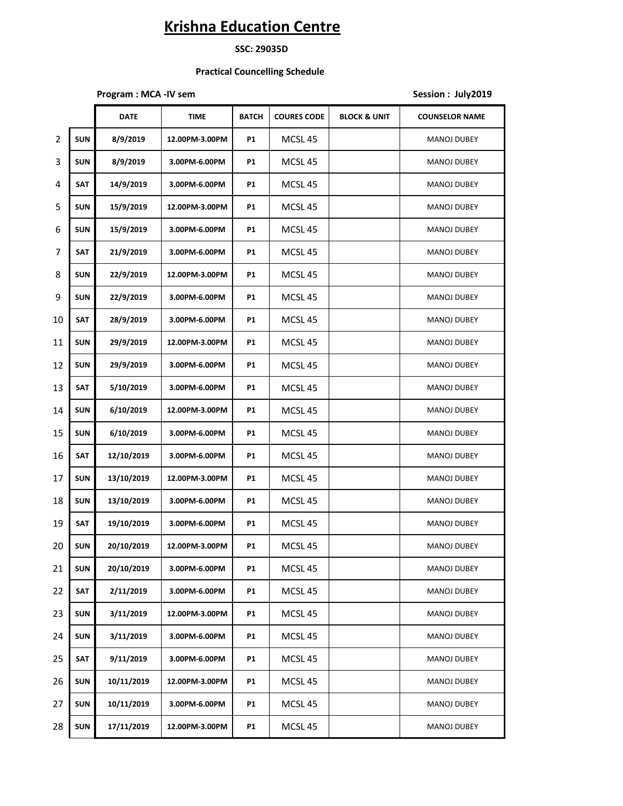**SSC: 29035D**

### **Practical Councelling Schedule**

**Program : MCA -IV sem Session : July2019** 

|                |            | <b>DATE</b> | <b>TIME</b>    | <b>BATCH</b> | <b>COURES CODE</b> | <b>BLOCK &amp; UNIT</b> | <b>COUNSELOR NAME</b> |
|----------------|------------|-------------|----------------|--------------|--------------------|-------------------------|-----------------------|
| $\overline{2}$ | <b>SUN</b> | 8/9/2019    | 12.00PM-3.00PM | P1           | MCSL <sub>45</sub> |                         | <b>MANOJ DUBEY</b>    |
| 3              | <b>SUN</b> | 8/9/2019    | 3.00PM-6.00PM  | <b>P1</b>    | MCSL <sub>45</sub> |                         | <b>MANOJ DUBEY</b>    |
| 4              | <b>SAT</b> | 14/9/2019   | 3.00PM-6.00PM  | <b>P1</b>    | MCSL 45            |                         | <b>MANOJ DUBEY</b>    |
| 5              | <b>SUN</b> | 15/9/2019   | 12.00PM-3.00PM | <b>P1</b>    | MCSL <sub>45</sub> |                         | <b>MANOJ DUBEY</b>    |
| 6              | <b>SUN</b> | 15/9/2019   | 3.00PM-6.00PM  | <b>P1</b>    | MCSL <sub>45</sub> |                         | <b>MANOJ DUBEY</b>    |
| 7              | <b>SAT</b> | 21/9/2019   | 3.00PM-6.00PM  | <b>P1</b>    | MCSL <sub>45</sub> |                         | <b>MANOJ DUBEY</b>    |
| 8              | <b>SUN</b> | 22/9/2019   | 12.00PM-3.00PM | P1           | MCSL <sub>45</sub> |                         | <b>MANOJ DUBEY</b>    |
| 9              | <b>SUN</b> | 22/9/2019   | 3.00PM-6.00PM  | <b>P1</b>    | MCSL 45            |                         | MANOJ DUBEY           |
| 10             | <b>SAT</b> | 28/9/2019   | 3.00PM-6.00PM  | <b>P1</b>    | MCSL <sub>45</sub> |                         | <b>MANOJ DUBEY</b>    |
| 11             | <b>SUN</b> | 29/9/2019   | 12.00PM-3.00PM | P1           | MCSL <sub>45</sub> |                         | <b>MANOJ DUBEY</b>    |
| 12             | <b>SUN</b> | 29/9/2019   | 3.00PM-6.00PM  | <b>P1</b>    | MCSL <sub>45</sub> |                         | <b>MANOJ DUBEY</b>    |
| 13             | <b>SAT</b> | 5/10/2019   | 3.00PM-6.00PM  | <b>P1</b>    | MCSL <sub>45</sub> |                         | MANOJ DUBEY           |
| 14             | <b>SUN</b> | 6/10/2019   | 12.00PM-3.00PM | <b>P1</b>    | MCSL <sub>45</sub> |                         | MANOJ DUBEY           |
| 15             | <b>SUN</b> | 6/10/2019   | 3.00PM-6.00PM  | <b>P1</b>    | MCSL <sub>45</sub> |                         | <b>MANOJ DUBEY</b>    |
| 16             | <b>SAT</b> | 12/10/2019  | 3.00PM-6.00PM  | <b>P1</b>    | MCSL <sub>45</sub> |                         | <b>MANOJ DUBEY</b>    |
| 17             | <b>SUN</b> | 13/10/2019  | 12.00PM-3.00PM | P1           | MCSL <sub>45</sub> |                         | <b>MANOJ DUBEY</b>    |
| 18             | <b>SUN</b> | 13/10/2019  | 3.00PM-6.00PM  | P1           | MCSL <sub>45</sub> |                         | <b>MANOJ DUBEY</b>    |
| 19             | <b>SAT</b> | 19/10/2019  | 3.00PM-6.00PM  | <b>P1</b>    | MCSL 45            |                         | MANOJ DUBEY           |
| 20             | <b>SUN</b> | 20/10/2019  | 12.00PM-3.00PM | P1           | MCSL <sub>45</sub> |                         | <b>MANOJ DUBEY</b>    |
| 21             | <b>SUN</b> | 20/10/2019  | 3.00PM-6.00PM  | P1           | MCSL 45            |                         | <b>MANOJ DUBEY</b>    |
| 22             | SAT        | 2/11/2019   | 3.00PM-6.00PM  | <b>P1</b>    | MCSL 45            |                         | MANOJ DUBEY           |
| 23             | <b>SUN</b> | 3/11/2019   | 12.00PM-3.00PM | P1           | MCSL 45            |                         | MANOJ DUBEY           |
| 24             | <b>SUN</b> | 3/11/2019   | 3.00PM-6.00PM  | P1           | MCSL 45            |                         | MANOJ DUBEY           |
| 25             | SAT        | 9/11/2019   | 3.00PM-6.00PM  | P1           | MCSL <sub>45</sub> |                         | MANOJ DUBEY           |
| 26             | <b>SUN</b> | 10/11/2019  | 12.00PM-3.00PM | <b>P1</b>    | MCSL 45            |                         | MANOJ DUBEY           |
| 27             | <b>SUN</b> | 10/11/2019  | 3.00PM-6.00PM  | P1           | MCSL 45            |                         | MANOJ DUBEY           |
| 28             | SUN        | 17/11/2019  | 12.00PM-3.00PM | <b>P1</b>    | MCSL 45            |                         | MANOJ DUBEY           |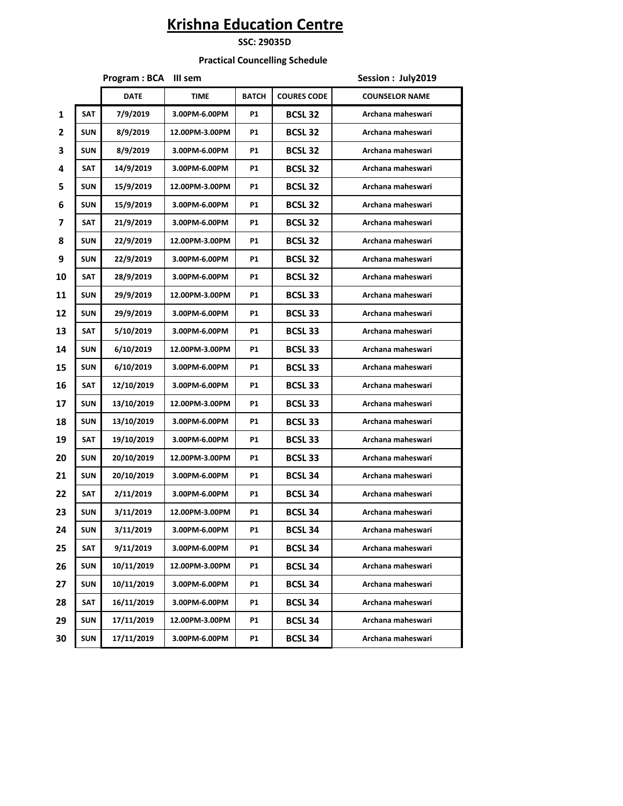### **SSC: 29035D**

### **Practical Councelling Schedule**

|    |            | Program : BCA III sem |                |              |                    | Session: July2019     |  |  |
|----|------------|-----------------------|----------------|--------------|--------------------|-----------------------|--|--|
|    |            | <b>DATE</b>           | <b>TIME</b>    | <b>BATCH</b> | <b>COURES CODE</b> | <b>COUNSELOR NAME</b> |  |  |
| 1  | <b>SAT</b> | 7/9/2019              | 3.00PM-6.00PM  | P1           | <b>BCSL 32</b>     | Archana maheswari     |  |  |
| 2  | <b>SUN</b> | 8/9/2019              | 12.00PM-3.00PM | P1           | <b>BCSL 32</b>     | Archana maheswari     |  |  |
| 3  | <b>SUN</b> | 8/9/2019              | 3.00PM-6.00PM  | P1           | <b>BCSL 32</b>     | Archana maheswari     |  |  |
| 4  | <b>SAT</b> | 14/9/2019             | 3.00PM-6.00PM  | <b>P1</b>    | <b>BCSL 32</b>     | Archana maheswari     |  |  |
| 5  | <b>SUN</b> | 15/9/2019             | 12.00PM-3.00PM | P1           | <b>BCSL 32</b>     | Archana maheswari     |  |  |
| 6  | <b>SUN</b> | 15/9/2019             | 3.00PM-6.00PM  | <b>P1</b>    | <b>BCSL 32</b>     | Archana maheswari     |  |  |
| 7  | <b>SAT</b> | 21/9/2019             | 3.00PM-6.00PM  | P1           | <b>BCSL 32</b>     | Archana maheswari     |  |  |
| 8  | <b>SUN</b> | 22/9/2019             | 12.00PM-3.00PM | P1           | <b>BCSL 32</b>     | Archana maheswari     |  |  |
| 9  | <b>SUN</b> | 22/9/2019             | 3.00PM-6.00PM  | P1           | <b>BCSL 32</b>     | Archana maheswari     |  |  |
| 10 | <b>SAT</b> | 28/9/2019             | 3.00PM-6.00PM  | P1           | <b>BCSL 32</b>     | Archana maheswari     |  |  |
| 11 | <b>SUN</b> | 29/9/2019             | 12.00PM-3.00PM | P1           | <b>BCSL33</b>      | Archana maheswari     |  |  |
| 12 | <b>SUN</b> | 29/9/2019             | 3.00PM-6.00PM  | P1           | <b>BCSL 33</b>     | Archana maheswari     |  |  |
| 13 | <b>SAT</b> | 5/10/2019             | 3.00PM-6.00PM  | P1           | <b>BCSL 33</b>     | Archana maheswari     |  |  |
| 14 | <b>SUN</b> | 6/10/2019             | 12.00PM-3.00PM | P1           | <b>BCSL 33</b>     | Archana maheswari     |  |  |
| 15 | <b>SUN</b> | 6/10/2019             | 3.00PM-6.00PM  | P1           | <b>BCSL 33</b>     | Archana maheswari     |  |  |
| 16 | <b>SAT</b> | 12/10/2019            | 3.00PM-6.00PM  | P1           | <b>BCSL 33</b>     | Archana maheswari     |  |  |
| 17 | <b>SUN</b> | 13/10/2019            | 12.00PM-3.00PM | P1           | <b>BCSL 33</b>     | Archana maheswari     |  |  |
| 18 | <b>SUN</b> | 13/10/2019            | 3.00PM-6.00PM  | P1           | <b>BCSL 33</b>     | Archana maheswari     |  |  |
| 19 | <b>SAT</b> | 19/10/2019            | 3.00PM-6.00PM  | P1           | <b>BCSL 33</b>     | Archana maheswari     |  |  |
| 20 | <b>SUN</b> | 20/10/2019            | 12.00PM-3.00PM | P1           | <b>BCSL 33</b>     | Archana maheswari     |  |  |
| 21 | <b>SUN</b> | 20/10/2019            | 3.00PM-6.00PM  | P1           | <b>BCSL 34</b>     | Archana maheswari     |  |  |
| 22 | <b>SAT</b> | 2/11/2019             | 3.00PM-6.00PM  | P1           | <b>BCSL 34</b>     | Archana maheswari     |  |  |
| 23 | <b>SUN</b> | 3/11/2019             | 12.00PM-3.00PM | <b>P1</b>    | <b>BCSL 34</b>     | Archana maheswari     |  |  |
| 24 | SUN        | 3/11/2019             | 3.00PM-6.00PM  | P1           | <b>BCSL 34</b>     | Archana maheswari     |  |  |
| 25 | <b>SAT</b> | 9/11/2019             | 3.00PM-6.00PM  | <b>P1</b>    | <b>BCSL 34</b>     | Archana maheswari     |  |  |
| 26 | <b>SUN</b> | 10/11/2019            | 12.00PM-3.00PM | P1           | <b>BCSL 34</b>     | Archana maheswari     |  |  |
| 27 | <b>SUN</b> | 10/11/2019            | 3.00PM-6.00PM  | P1           | <b>BCSL 34</b>     | Archana maheswari     |  |  |
| 28 | <b>SAT</b> | 16/11/2019            | 3.00PM-6.00PM  | P1           | <b>BCSL 34</b>     | Archana maheswari     |  |  |
| 29 | <b>SUN</b> | 17/11/2019            | 12.00PM-3.00PM | P1           | <b>BCSL 34</b>     | Archana maheswari     |  |  |
| 30 | <b>SUN</b> | 17/11/2019            | 3.00PM-6.00PM  | P1           | <b>BCSL 34</b>     | Archana maheswari     |  |  |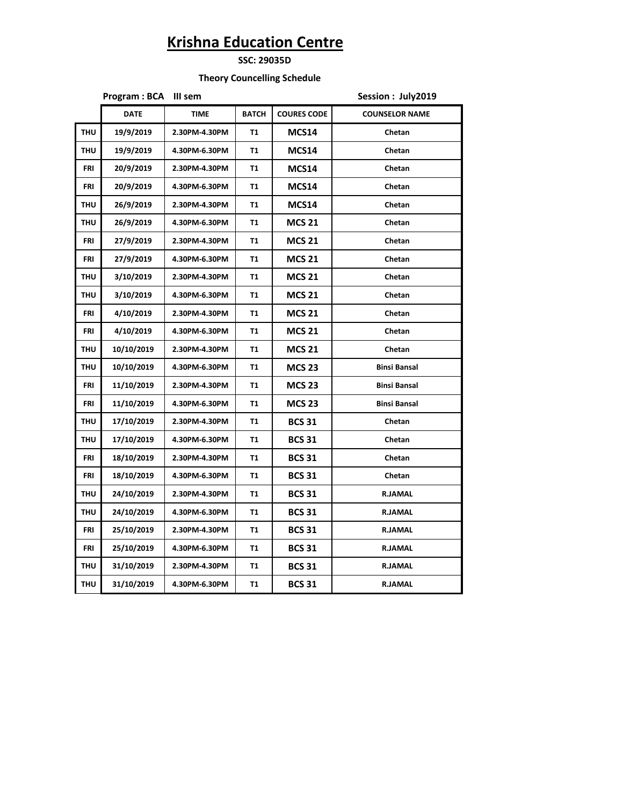**SSC: 29035D**

 **Theory Councelling Schedule**

|            | Program: BCA | III sem       | Session: July2019 |                    |                       |  |  |  |
|------------|--------------|---------------|-------------------|--------------------|-----------------------|--|--|--|
|            | <b>DATE</b>  | <b>TIME</b>   | <b>BATCH</b>      | <b>COURES CODE</b> | <b>COUNSELOR NAME</b> |  |  |  |
| <b>THU</b> | 19/9/2019    | 2.30PM-4.30PM | <b>T1</b>         | MCS14              | Chetan                |  |  |  |
| <b>THU</b> | 19/9/2019    | 4.30PM-6.30PM | T1                | MCS14              | Chetan                |  |  |  |
| <b>FRI</b> | 20/9/2019    | 2.30PM-4.30PM | T1                | MCS14              | Chetan                |  |  |  |
| <b>FRI</b> | 20/9/2019    | 4.30PM-6.30PM | <b>T1</b>         | MCS14              | Chetan                |  |  |  |
| <b>THU</b> | 26/9/2019    | 2.30PM-4.30PM | <b>T1</b>         | <b>MCS14</b>       | Chetan                |  |  |  |
| <b>THU</b> | 26/9/2019    | 4.30PM-6.30PM | T1                | <b>MCS 21</b>      | Chetan                |  |  |  |
| <b>FRI</b> | 27/9/2019    | 2.30PM-4.30PM | T1                | <b>MCS 21</b>      | Chetan                |  |  |  |
| <b>FRI</b> | 27/9/2019    | 4.30PM-6.30PM | <b>T1</b>         | <b>MCS 21</b>      | Chetan                |  |  |  |
| <b>THU</b> | 3/10/2019    | 2.30PM-4.30PM | T1                | <b>MCS 21</b>      | Chetan                |  |  |  |
| <b>THU</b> | 3/10/2019    | 4.30PM-6.30PM | T1                | <b>MCS 21</b>      | Chetan                |  |  |  |
| <b>FRI</b> | 4/10/2019    | 2.30PM-4.30PM | <b>T1</b>         | <b>MCS 21</b>      | Chetan                |  |  |  |
| FRI        | 4/10/2019    | 4.30PM-6.30PM | T1                | <b>MCS 21</b>      | Chetan                |  |  |  |
| <b>THU</b> | 10/10/2019   | 2.30PM-4.30PM | T1                | <b>MCS 21</b>      | Chetan                |  |  |  |
| <b>THU</b> | 10/10/2019   | 4.30PM-6.30PM | T1                | <b>MCS 23</b>      | <b>Binsi Bansal</b>   |  |  |  |
| <b>FRI</b> | 11/10/2019   | 2.30PM-4.30PM | T1                | <b>MCS 23</b>      | <b>Binsi Bansal</b>   |  |  |  |
| <b>FRI</b> | 11/10/2019   | 4.30PM-6.30PM | <b>T1</b>         | <b>MCS 23</b>      | <b>Binsi Bansal</b>   |  |  |  |
| <b>THU</b> | 17/10/2019   | 2.30PM-4.30PM | T1                | <b>BCS 31</b>      | Chetan                |  |  |  |
| <b>THU</b> | 17/10/2019   | 4.30PM-6.30PM | T1                | <b>BCS 31</b>      | Chetan                |  |  |  |
| FRI        | 18/10/2019   | 2.30PM-4.30PM | T1                | <b>BCS 31</b>      | Chetan                |  |  |  |
| FRI        | 18/10/2019   | 4.30PM-6.30PM | T1                | <b>BCS 31</b>      | Chetan                |  |  |  |
| <b>THU</b> | 24/10/2019   | 2.30PM-4.30PM | T1                | <b>BCS 31</b>      | <b>R.JAMAL</b>        |  |  |  |
| <b>THU</b> | 24/10/2019   | 4.30PM-6.30PM | <b>T1</b>         | <b>BCS 31</b>      | <b>R.JAMAL</b>        |  |  |  |
| FRI        | 25/10/2019   | 2.30PM-4.30PM | T1                | <b>BCS 31</b>      | <b>R.JAMAL</b>        |  |  |  |
| FRI        | 25/10/2019   | 4.30PM-6.30PM | T1                | <b>BCS 31</b>      | <b>R.JAMAL</b>        |  |  |  |
| <b>THU</b> | 31/10/2019   | 2.30PM-4.30PM | T1                | <b>BCS 31</b>      | <b>R.JAMAL</b>        |  |  |  |
| <b>THU</b> | 31/10/2019   | 4.30PM-6.30PM | T1                | <b>BCS 31</b>      | <b>R.JAMAL</b>        |  |  |  |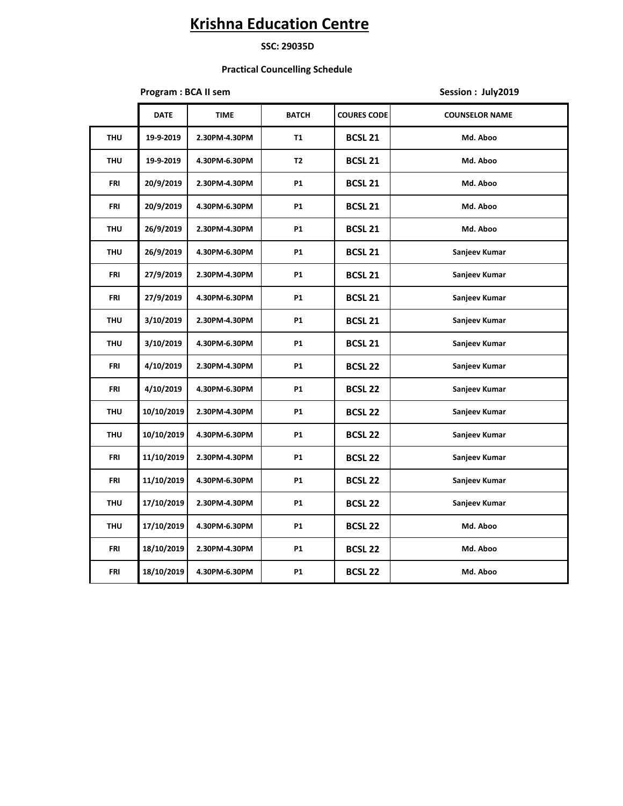#### **SSC: 29035D**

### **Practical Councelling Schedule**

### **Program : BCA II sem Session : July2019**

|            | <b>DATE</b> | TIME          | <b>BATCH</b>   | <b>COURES CODE</b> | <b>COUNSELOR NAME</b> |
|------------|-------------|---------------|----------------|--------------------|-----------------------|
| <b>THU</b> | 19-9-2019   | 2.30PM-4.30PM | <b>T1</b>      | <b>BCSL 21</b>     | Md. Aboo              |
| <b>THU</b> | 19-9-2019   | 4.30PM-6.30PM | T <sub>2</sub> | <b>BCSL 21</b>     | Md. Aboo              |
| FRI        | 20/9/2019   | 2.30PM-4.30PM | <b>P1</b>      | <b>BCSL 21</b>     | Md. Aboo              |
| FRI        | 20/9/2019   | 4.30PM-6.30PM | <b>P1</b>      | <b>BCSL 21</b>     | Md. Aboo              |
| <b>THU</b> | 26/9/2019   | 2.30PM-4.30PM | <b>P1</b>      | <b>BCSL 21</b>     | Md. Aboo              |
| <b>THU</b> | 26/9/2019   | 4.30PM-6.30PM | P1             | <b>BCSL 21</b>     | Sanjeev Kumar         |
| FRI        | 27/9/2019   | 2.30PM-4.30PM | P1             | <b>BCSL 21</b>     | Sanjeev Kumar         |
| FRI        | 27/9/2019   | 4.30PM-6.30PM | <b>P1</b>      | <b>BCSL 21</b>     | Sanjeev Kumar         |
| <b>THU</b> | 3/10/2019   | 2.30PM-4.30PM | P1             | <b>BCSL 21</b>     | Sanjeev Kumar         |
| <b>THU</b> | 3/10/2019   | 4.30PM-6.30PM | <b>P1</b>      | <b>BCSL 21</b>     | Sanjeev Kumar         |
| <b>FRI</b> | 4/10/2019   | 2.30PM-4.30PM | <b>P1</b>      | <b>BCSL 22</b>     | Sanjeev Kumar         |
| FRI        | 4/10/2019   | 4.30PM-6.30PM | P1             | <b>BCSL 22</b>     | Sanjeev Kumar         |
| <b>THU</b> | 10/10/2019  | 2.30PM-4.30PM | P1             | <b>BCSL 22</b>     | Sanjeev Kumar         |
| <b>THU</b> | 10/10/2019  | 4.30PM-6.30PM | <b>P1</b>      | <b>BCSL 22</b>     | Sanjeev Kumar         |
| FRI        | 11/10/2019  | 2.30PM-4.30PM | P1             | <b>BCSL 22</b>     | Sanjeev Kumar         |
| FRI        | 11/10/2019  | 4.30PM-6.30PM | P1             | <b>BCSL 22</b>     | Sanjeev Kumar         |
| <b>THU</b> | 17/10/2019  | 2.30PM-4.30PM | <b>P1</b>      | <b>BCSL 22</b>     | Sanjeev Kumar         |
| <b>THU</b> | 17/10/2019  | 4.30PM-6.30PM | P1             | <b>BCSL 22</b>     | Md. Aboo              |
| FRI        | 18/10/2019  | 2.30PM-4.30PM | P1             | <b>BCSL 22</b>     | Md. Aboo              |
| FRI        | 18/10/2019  | 4.30PM-6.30PM | P1             | <b>BCSL 22</b>     | Md. Aboo              |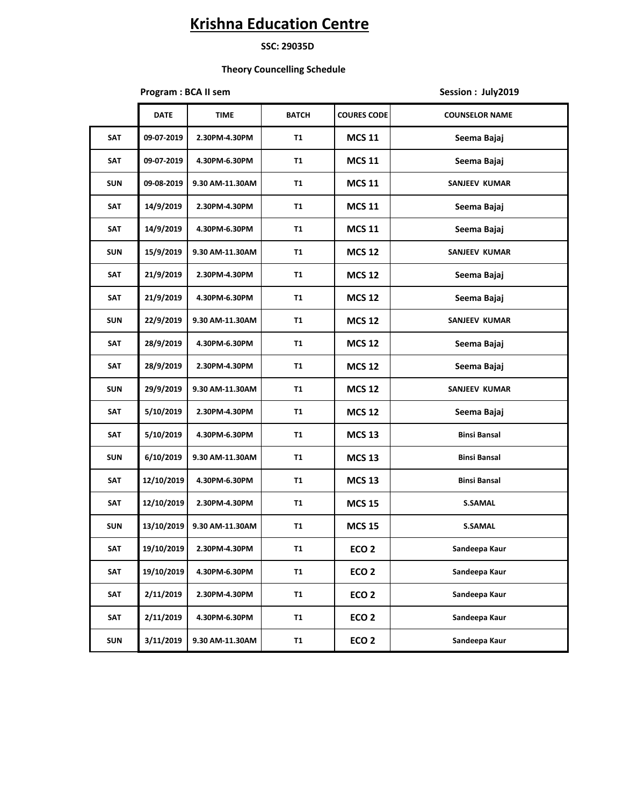#### **SSC: 29035D**

#### **Theory Councelling Schedule**

#### **Program : BCA II sem <b>Session** : July2019

**DATE TIME BATCH COURES CODE COUNSELOR NAME SAT 09-07-2019 2.30PM-4.30PM T1 MCS 11 Seema Bajaj SAT 09-07-2019 4.30PM-6.30PM T1 MCS 11 Seema Bajaj SUN 09-08-2019 9.30 AM-11.30AM T1 MCS 11 SANJEEV KUMAR SAT 14/9/2019 2.30PM-4.30PM T1 MCS 11 Seema Bajaj SAT 14/9/2019 4.30PM-6.30PM T1 MCS 11 Seema Bajaj SUN 15/9/2019 9.30 AM-11.30AM T1 MCS 12 SANJEEV KUMAR SAT 21/9/2019 2.30PM-4.30PM T1 MCS 12 Seema Bajaj SAT 21/9/2019 4.30PM-6.30PM T1 MCS 12 Seema Bajaj SUN 22/9/2019 9.30 AM-11.30AM T1 MCS 12 SANJEEV KUMAR SAT 28/9/2019 4.30PM-6.30PM T1 MCS 12 Seema Bajaj SAT 28/9/2019 2.30PM-4.30PM T1 MCS 12 Seema Bajaj SUN 29/9/2019 9.30 AM-11.30AM T1 MCS 12 SANJEEV KUMAR SAT 5/10/2019 2.30PM-4.30PM T1 MCS 12 Seema Bajaj SAT 5/10/2019 4.30PM-6.30PM T1 MCS 13 Binsi Bansal SUN 6/10/2019 9.30 AM-11.30AM T1 MCS 13 Binsi Bansal SAT 12/10/2019 4.30PM-6.30PM T1 MCS 13 Binsi Bansal SAT 12/10/2019 2.30PM-4.30PM T1 MCS 15 S.SAMAL SUN 13/10/2019 9.30 AM-11.30AM T1 MCS 15 S.SAMAL SAT 19/10/2019 2.30PM-4.30PM T1 ECO 2 Sandeepa Kaur SAT 19/10/2019 4.30PM-6.30PM T1 ECO 2 Sandeepa Kaur SAT 2/11/2019 2.30PM-4.30PM T1 ECO 2 Sandeepa Kaur SAT 2/11/2019 4.30PM-6.30PM T1 ECO 2 Sandeepa Kaur SUN 3/11/2019 9.30 AM-11.30AM T1 ECO 2 Sandeepa Kaur**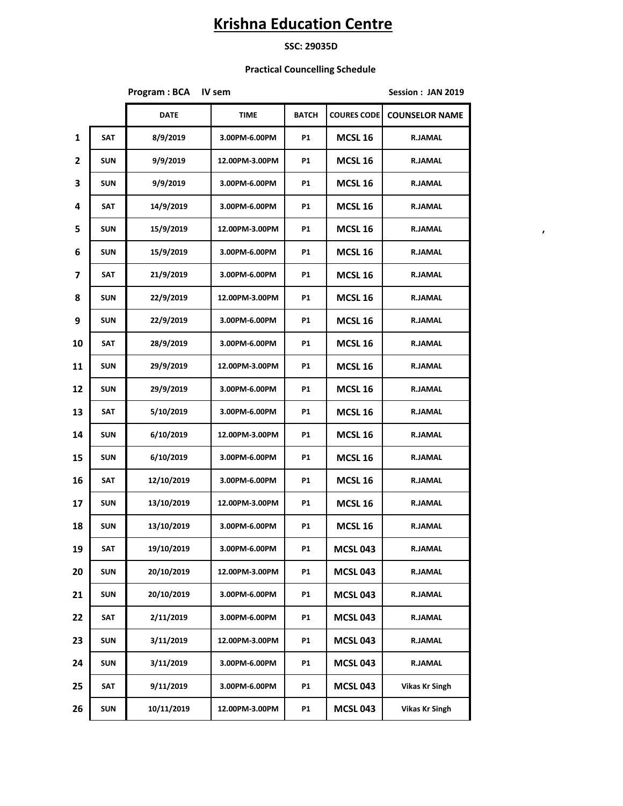### **SSC: 29035D**

### **Practical Councelling Schedule**

|              |            | <b>Program: BCA</b> | IV sem         | Session: JAN 2019 |                    |                       |  |
|--------------|------------|---------------------|----------------|-------------------|--------------------|-----------------------|--|
|              |            | <b>DATE</b>         | <b>TIME</b>    | BATCH             | <b>COURES CODE</b> | <b>COUNSELOR NAME</b> |  |
| $\mathbf{1}$ | <b>SAT</b> | 8/9/2019            | 3.00PM-6.00PM  | <b>P1</b>         | <b>MCSL 16</b>     | <b>R.JAMAL</b>        |  |
| $\mathbf{2}$ | <b>SUN</b> | 9/9/2019            | 12.00PM-3.00PM | <b>P1</b>         | <b>MCSL 16</b>     | <b>R.JAMAL</b>        |  |
| 3            | SUN        | 9/9/2019            | 3.00PM-6.00PM  | <b>P1</b>         | <b>MCSL 16</b>     | <b>R.JAMAL</b>        |  |
| 4            | SAT        | 14/9/2019           | 3.00PM-6.00PM  | <b>P1</b>         | <b>MCSL 16</b>     | <b>R.JAMAL</b>        |  |
| 5            | SUN        | 15/9/2019           | 12.00PM-3.00PM | <b>P1</b>         | MCSL <sub>16</sub> | <b>R.JAMAL</b>        |  |
| 6            | <b>SUN</b> | 15/9/2019           | 3.00PM-6.00PM  | <b>P1</b>         | MCSL <sub>16</sub> | <b>R.JAMAL</b>        |  |
| 7            | SAT        | 21/9/2019           | 3.00PM-6.00PM  | <b>P1</b>         | <b>MCSL 16</b>     | <b>R.JAMAL</b>        |  |
| 8            | <b>SUN</b> | 22/9/2019           | 12.00PM-3.00PM | P1                | MCSL <sub>16</sub> | <b>R.JAMAL</b>        |  |
| 9            | <b>SUN</b> | 22/9/2019           | 3.00PM-6.00PM  | P1                | <b>MCSL 16</b>     | <b>R.JAMAL</b>        |  |
| 10           | <b>SAT</b> | 28/9/2019           | 3.00PM-6.00PM  | P1                | MCSL <sub>16</sub> | <b>R.JAMAL</b>        |  |
| 11           | SUN        | 29/9/2019           | 12.00PM-3.00PM | P1                | MCSL <sub>16</sub> | <b>R.JAMAL</b>        |  |
| 12           | <b>SUN</b> | 29/9/2019           | 3.00PM-6.00PM  | P1                | MCSL <sub>16</sub> | <b>R.JAMAL</b>        |  |
| 13           | SAT        | 5/10/2019           | 3.00PM-6.00PM  | P1                | MCSL <sub>16</sub> | <b>R.JAMAL</b>        |  |
| 14           | <b>SUN</b> | 6/10/2019           | 12.00PM-3.00PM | P1                | MCSL <sub>16</sub> | <b>R.JAMAL</b>        |  |
| 15           | <b>SUN</b> | 6/10/2019           | 3.00PM-6.00PM  | P1                | <b>MCSL 16</b>     | <b>R.JAMAL</b>        |  |
| 16           | SAT        | 12/10/2019          | 3.00PM-6.00PM  | P1                | <b>MCSL 16</b>     | <b>R.JAMAL</b>        |  |
| 17           | <b>SUN</b> | 13/10/2019          | 12.00PM-3.00PM | P1                | <b>MCSL 16</b>     | <b>R.JAMAL</b>        |  |
| 18           | <b>SUN</b> | 13/10/2019          | 3.00PM-6.00PM  | P1                | MCSL <sub>16</sub> | <b>R.JAMAL</b>        |  |
| 19           | SAT        | 19/10/2019          | 3.00PM-6.00PM  | P1                | <b>MCSL 043</b>    | <b>R.JAMAL</b>        |  |
| 20           | <b>SUN</b> | 20/10/2019          | 12.00PM-3.00PM | P1                | <b>MCSL 043</b>    | <b>R.JAMAL</b>        |  |
| 21           | <b>SUN</b> | 20/10/2019          | 3.00PM-6.00PM  | P1                | <b>MCSL 043</b>    | <b>R.JAMAL</b>        |  |
| 22           | SAT        | 2/11/2019           | 3.00PM-6.00PM  | P1                | <b>MCSL 043</b>    | <b>R.JAMAL</b>        |  |
| 23           | <b>SUN</b> | 3/11/2019           | 12.00PM-3.00PM | <b>P1</b>         | <b>MCSL 043</b>    | <b>R.JAMAL</b>        |  |
| 24           | <b>SUN</b> | 3/11/2019           | 3.00PM-6.00PM  | <b>P1</b>         | <b>MCSL 043</b>    | <b>R.JAMAL</b>        |  |
| 25           | SAT        | 9/11/2019           | 3.00PM-6.00PM  | <b>P1</b>         | <b>MCSL 043</b>    | <b>Vikas Kr Singh</b> |  |
| 26           | <b>SUN</b> | 10/11/2019          | 12.00PM-3.00PM | <b>P1</b>         | <b>MCSL 043</b>    | <b>Vikas Kr Singh</b> |  |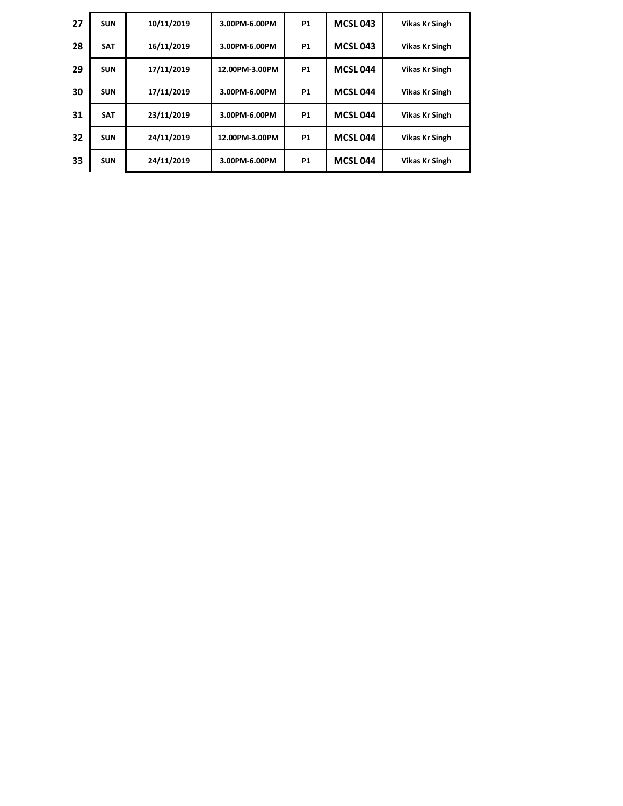| <b>SUN</b> | 10/11/2019 | 3.00PM-6.00PM  | <b>P1</b> | <b>MCSL 043</b> | <b>Vikas Kr Singh</b> |
|------------|------------|----------------|-----------|-----------------|-----------------------|
| <b>SAT</b> | 16/11/2019 | 3.00PM-6.00PM  | <b>P1</b> | <b>MCSL 043</b> | <b>Vikas Kr Singh</b> |
| <b>SUN</b> | 17/11/2019 | 12.00PM-3.00PM | <b>P1</b> | <b>MCSL 044</b> | <b>Vikas Kr Singh</b> |
| <b>SUN</b> | 17/11/2019 | 3.00PM-6.00PM  | <b>P1</b> | <b>MCSL 044</b> | <b>Vikas Kr Singh</b> |
| <b>SAT</b> | 23/11/2019 | 3.00PM-6.00PM  | <b>P1</b> | <b>MCSL 044</b> | <b>Vikas Kr Singh</b> |
| <b>SUN</b> | 24/11/2019 | 12.00PM-3.00PM | <b>P1</b> | <b>MCSL 044</b> | <b>Vikas Kr Singh</b> |
| <b>SUN</b> | 24/11/2019 | 3.00PM-6.00PM  | <b>P1</b> | <b>MCSL 044</b> | <b>Vikas Kr Singh</b> |
|            |            |                |           |                 |                       |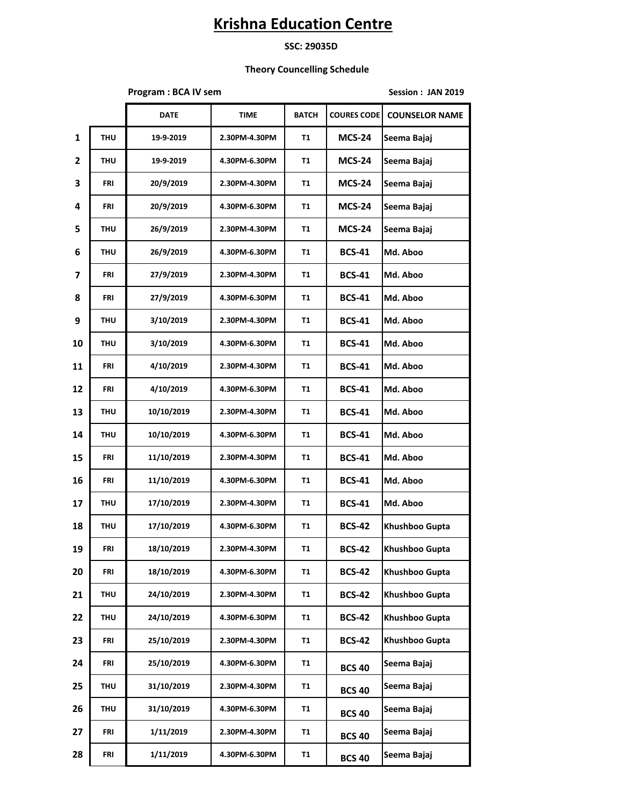#### **SSC: 29035D**

### **Theory Councelling Schedule**

**Program : BCA IV sem Session : JAN 2019** 

|                |            | <b>DATE</b> | <b>TIME</b>   | <b>BATCH</b> | <b>COURES CODE</b> | <b>COUNSELOR NAME</b> |
|----------------|------------|-------------|---------------|--------------|--------------------|-----------------------|
| $\mathbf{1}$   | <b>THU</b> | 19-9-2019   | 2.30PM-4.30PM | T1           | <b>MCS-24</b>      | Seema Bajaj           |
| $\overline{2}$ | THU        | 19-9-2019   | 4.30PM-6.30PM | T1           | <b>MCS-24</b>      | Seema Bajaj           |
| 3              | FRI        | 20/9/2019   | 2.30PM-4.30PM | Τ1           | <b>MCS-24</b>      | Seema Bajaj           |
| 4              | FRI        | 20/9/2019   | 4.30PM-6.30PM | Τ1           | <b>MCS-24</b>      | Seema Bajaj           |
| 5              | <b>THU</b> | 26/9/2019   | 2.30PM-4.30PM | Τ1           | <b>MCS-24</b>      | Seema Bajaj           |
| 6              | THU        | 26/9/2019   | 4.30PM-6.30PM | Τ1           | <b>BCS-41</b>      | Md. Aboo              |
| 7              | FRI        | 27/9/2019   | 2.30PM-4.30PM | Τ1           | <b>BCS-41</b>      | Md. Aboo              |
| 8              | FRI        | 27/9/2019   | 4.30PM-6.30PM | T1           | <b>BCS-41</b>      | Md. Aboo              |
| 9              | <b>THU</b> | 3/10/2019   | 2.30PM-4.30PM | Τ1           | <b>BCS-41</b>      | Md. Aboo              |
| 10             | <b>THU</b> | 3/10/2019   | 4.30PM-6.30PM | Τ1           | <b>BCS-41</b>      | Md. Aboo              |
| 11             | FRI        | 4/10/2019   | 2.30PM-4.30PM | Τ1           | <b>BCS-41</b>      | Md. Aboo              |
| 12             | FRI        | 4/10/2019   | 4.30PM-6.30PM | Τ1           | <b>BCS-41</b>      | Md. Aboo              |
| 13             | THU        | 10/10/2019  | 2.30PM-4.30PM | Τ1           | <b>BCS-41</b>      | Md. Aboo              |
| 14             | <b>THU</b> | 10/10/2019  | 4.30PM-6.30PM | Τ1           | <b>BCS-41</b>      | Md. Aboo              |
| 15             | FRI        | 11/10/2019  | 2.30PM-4.30PM | Τ1           | <b>BCS-41</b>      | Md. Aboo              |
| 16             | FRI        | 11/10/2019  | 4.30PM-6.30PM | Τ1           | <b>BCS-41</b>      | Md. Aboo              |
| 17             | THU        | 17/10/2019  | 2.30PM-4.30PM | Τ1           | <b>BCS-41</b>      | Md. Aboo              |
| 18             | <b>THU</b> | 17/10/2019  | 4.30PM-6.30PM | Τ1           | <b>BCS-42</b>      | Khushboo Gupta        |
| 19             | FRI        | 18/10/2019  | 2.30PM-4.30PM | Τ1           | <b>BCS-42</b>      | Khushboo Gupta        |
| 20             | FRI        | 18/10/2019  | 4.30PM-6.30PM | Τ1           | <b>BCS-42</b>      | Khushboo Gupta        |
| 21             | THU        | 24/10/2019  | 2.30PM-4.30PM | Τ1           | <b>BCS-42</b>      | Khushboo Gupta        |
| 22             | THU        | 24/10/2019  | 4.30PM-6.30PM | Τ1           | <b>BCS-42</b>      | Khushboo Gupta        |
| 23             | FRI        | 25/10/2019  | 2.30PM-4.30PM | T1           | <b>BCS-42</b>      | Khushboo Gupta        |
| 24             | FRI        | 25/10/2019  | 4.30PM-6.30PM | T1           | <b>BCS 40</b>      | Seema Bajaj           |
| 25             | THU        | 31/10/2019  | 2.30PM-4.30PM | T1           | <b>BCS 40</b>      | Seema Bajaj           |
| 26             | THU        | 31/10/2019  | 4.30PM-6.30PM | Τ1           | <b>BCS 40</b>      | Seema Bajaj           |
| 27             | FRI        | 1/11/2019   | 2.30PM-4.30PM | T1           | <b>BCS 40</b>      | Seema Bajaj           |
| 28             | FRI        | 1/11/2019   | 4.30PM-6.30PM | <b>T1</b>    | <b>BCS 40</b>      | Seema Bajaj           |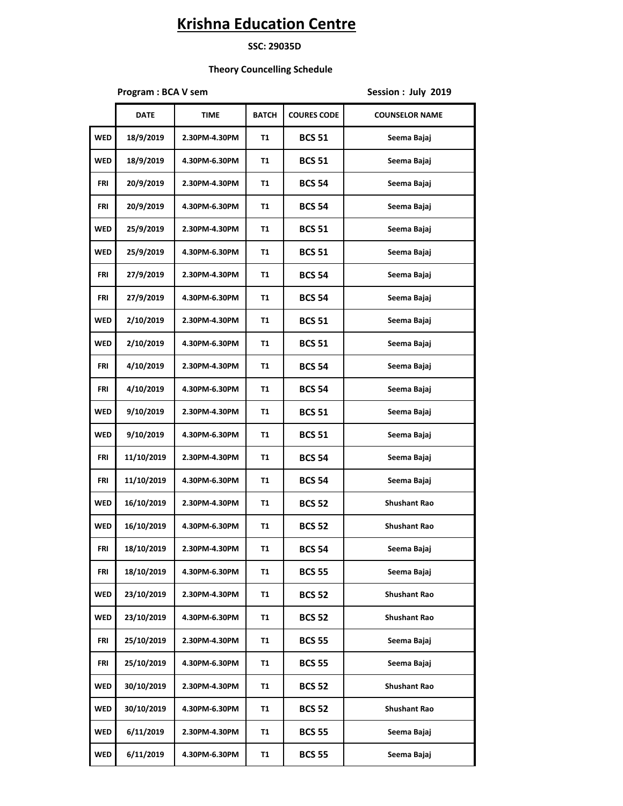#### **SSC: 29035D**

### **Theory Councelling Schedule**

**Program : BCA V sem Session : July 2019** 

|            | <b>DATE</b> | <b>TIME</b>   | <b>BATCH</b> | <b>COURES CODE</b> | <b>COUNSELOR NAME</b> |
|------------|-------------|---------------|--------------|--------------------|-----------------------|
| <b>WED</b> | 18/9/2019   | 2.30PM-4.30PM | Т1           | <b>BCS 51</b>      | Seema Bajaj           |
| <b>WED</b> | 18/9/2019   | 4.30PM-6.30PM | Т1           | <b>BCS 51</b>      | Seema Bajaj           |
| FRI        | 20/9/2019   | 2.30PM-4.30PM | Т1           | <b>BCS 54</b>      | Seema Bajaj           |
| FRI        | 20/9/2019   | 4.30PM-6.30PM | Т1           | <b>BCS 54</b>      | Seema Bajaj           |
| <b>WED</b> | 25/9/2019   | 2.30PM-4.30PM | Т1           | <b>BCS 51</b>      | Seema Bajaj           |
| <b>WED</b> | 25/9/2019   | 4.30PM-6.30PM | Т1           | <b>BCS 51</b>      | Seema Bajaj           |
| FRI        | 27/9/2019   | 2.30PM-4.30PM | Т1           | <b>BCS 54</b>      | Seema Bajaj           |
| FRI        | 27/9/2019   | 4.30PM-6.30PM | Τ1           | <b>BCS 54</b>      | Seema Bajaj           |
| <b>WED</b> | 2/10/2019   | 2.30PM-4.30PM | Τ1           | <b>BCS 51</b>      | Seema Bajaj           |
| <b>WED</b> | 2/10/2019   | 4.30PM-6.30PM | Τ1           | <b>BCS 51</b>      | Seema Bajaj           |
| FRI        | 4/10/2019   | 2.30PM-4.30PM | Τ1           | <b>BCS 54</b>      | Seema Bajaj           |
| FRI        | 4/10/2019   | 4.30PM-6.30PM | Τ1           | <b>BCS 54</b>      | Seema Bajaj           |
| <b>WED</b> | 9/10/2019   | 2.30PM-4.30PM | Τ1           | <b>BCS 51</b>      | Seema Bajaj           |
| <b>WED</b> | 9/10/2019   | 4.30PM-6.30PM | Τ1           | <b>BCS 51</b>      | Seema Bajaj           |
| FRI        | 11/10/2019  | 2.30PM-4.30PM | Τ1           | <b>BCS 54</b>      | Seema Bajaj           |
| FRI        | 11/10/2019  | 4.30PM-6.30PM | Τ1           | <b>BCS 54</b>      | Seema Bajaj           |
| <b>WED</b> | 16/10/2019  | 2.30PM-4.30PM | Τ1           | <b>BCS 52</b>      | <b>Shushant Rao</b>   |
| <b>WED</b> | 16/10/2019  | 4.30PM-6.30PM | Τ1           | <b>BCS 52</b>      | <b>Shushant Rao</b>   |
| FRI        | 18/10/2019  | 2.30PM-4.30PM | Τ1           | <b>BCS 54</b>      | Seema Bajaj           |
| FRI        | 18/10/2019  | 4.30PM-6.30PM | Τ1           | <b>BCS 55</b>      | Seema Bajaj           |
| <b>WED</b> | 23/10/2019  | 2.30PM-4.30PM | Τ1           | <b>BCS 52</b>      | <b>Shushant Rao</b>   |
| <b>WED</b> | 23/10/2019  | 4.30PM-6.30PM | Τ1           | <b>BCS 52</b>      | <b>Shushant Rao</b>   |
| FRI        | 25/10/2019  | 2.30PM-4.30PM | Τ1           | <b>BCS 55</b>      | Seema Bajaj           |
| FRI        | 25/10/2019  | 4.30PM-6.30PM | Τ1           | <b>BCS 55</b>      | Seema Bajaj           |
| WED        | 30/10/2019  | 2.30PM-4.30PM | Τ1           | <b>BCS 52</b>      | <b>Shushant Rao</b>   |
| WED        | 30/10/2019  | 4.30PM-6.30PM | Τ1           | <b>BCS 52</b>      | <b>Shushant Rao</b>   |
| WED        | 6/11/2019   | 2.30PM-4.30PM | Τ1           | <b>BCS 55</b>      | Seema Bajaj           |
| WED        | 6/11/2019   | 4.30PM-6.30PM | Τ1           | <b>BCS 55</b>      | Seema Bajaj           |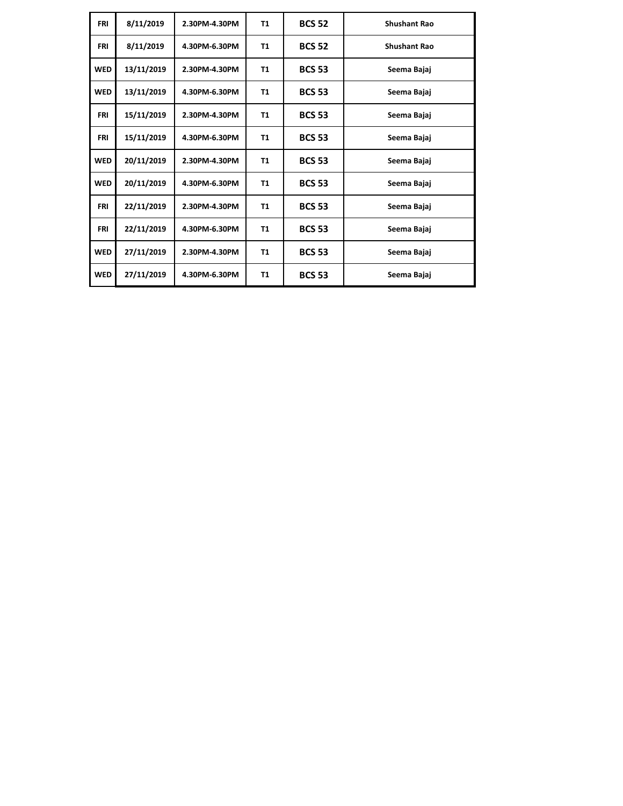| <b>FRI</b> | 8/11/2019  | 2.30PM-4.30PM | <b>T1</b> | <b>BCS 52</b> | <b>Shushant Rao</b> |
|------------|------------|---------------|-----------|---------------|---------------------|
| <b>FRI</b> | 8/11/2019  | 4.30PM-6.30PM | Τ1        | <b>BCS 52</b> | <b>Shushant Rao</b> |
| <b>WED</b> | 13/11/2019 | 2.30PM-4.30PM | T1        | <b>BCS 53</b> | Seema Bajaj         |
| <b>WED</b> | 13/11/2019 | 4.30PM-6.30PM | T1        | <b>BCS 53</b> | Seema Bajaj         |
| <b>FRI</b> | 15/11/2019 | 2.30PM-4.30PM | <b>T1</b> | <b>BCS 53</b> | Seema Bajaj         |
| <b>FRI</b> | 15/11/2019 | 4.30PM-6.30PM | <b>T1</b> | <b>BCS 53</b> | Seema Bajaj         |
| <b>WED</b> | 20/11/2019 | 2.30PM-4.30PM | <b>T1</b> | <b>BCS 53</b> | Seema Bajaj         |
| <b>WED</b> | 20/11/2019 | 4.30PM-6.30PM | <b>T1</b> | <b>BCS 53</b> | Seema Bajaj         |
| <b>FRI</b> | 22/11/2019 | 2.30PM-4.30PM | <b>T1</b> | <b>BCS 53</b> | Seema Bajaj         |
| <b>FRI</b> | 22/11/2019 | 4.30PM-6.30PM | Τ1        | <b>BCS 53</b> | Seema Bajaj         |
| <b>WED</b> | 27/11/2019 | 2.30PM-4.30PM | Τ1        | <b>BCS 53</b> | Seema Bajaj         |
| <b>WED</b> | 27/11/2019 | 4.30PM-6.30PM | Τ1        | <b>BCS 53</b> | Seema Bajaj         |